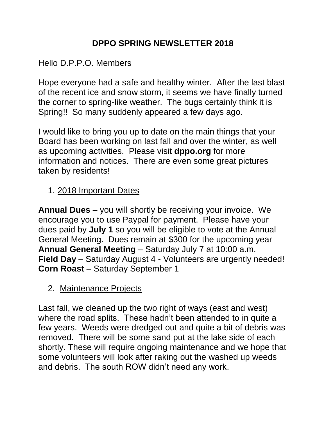# **DPPO SPRING NEWSLETTER 2018**

#### Hello D.P.P.O. Members

Hope everyone had a safe and healthy winter. After the last blast of the recent ice and snow storm, it seems we have finally turned the corner to spring-like weather. The bugs certainly think it is Spring!! So many suddenly appeared a few days ago.

I would like to bring you up to date on the main things that your Board has been working on last fall and over the winter, as well as upcoming activities. Please visit **dppo.org** for more information and notices. There are even some great pictures taken by residents!

### 1. 2018 Important Dates

**Annual Dues** – you will shortly be receiving your invoice. We encourage you to use Paypal for payment. Please have your dues paid by **July 1** so you will be eligible to vote at the Annual General Meeting. Dues remain at \$300 for the upcoming year **Annual General Meeting** – Saturday July 7 at 10:00 a.m. **Field Day** – Saturday August 4 - Volunteers are urgently needed! **Corn Roast – Saturday September 1** 

### 2. Maintenance Projects

Last fall, we cleaned up the two right of ways (east and west) where the road splits. These hadn't been attended to in quite a few years. Weeds were dredged out and quite a bit of debris was removed. There will be some sand put at the lake side of each shortly. These will require ongoing maintenance and we hope that some volunteers will look after raking out the washed up weeds and debris. The south ROW didn't need any work.